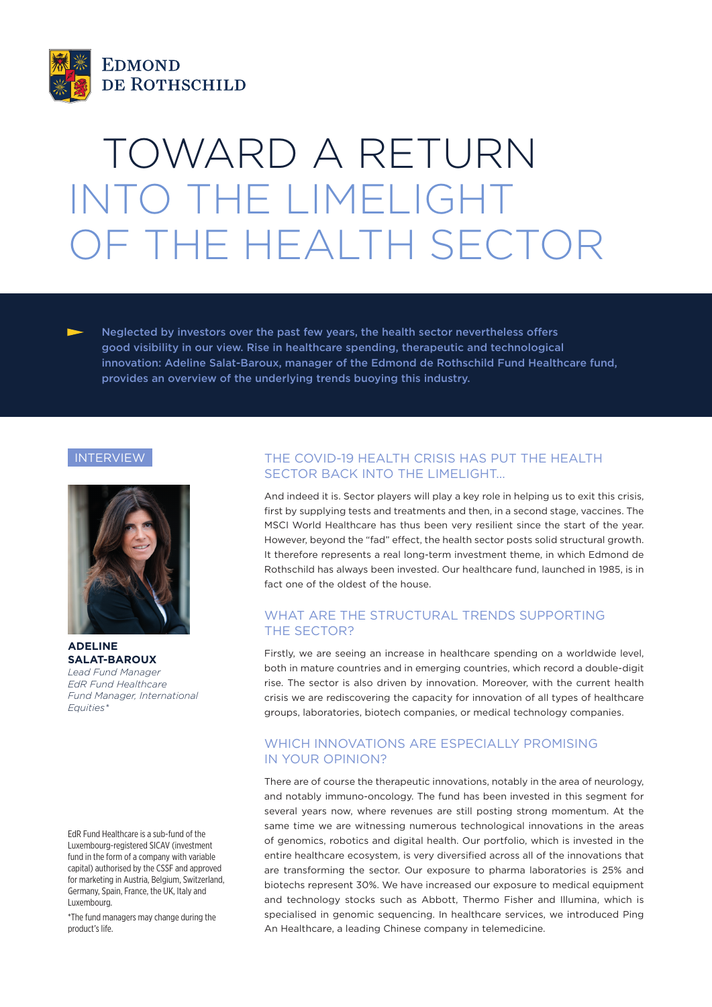

# TOWARD A RETURN INTO THE LIMELIGHT OF THE HEALTH SECTOR

Neglected by investors over the past few years, the health sector nevertheless offers good visibility in our view. Rise in healthcare spending, therapeutic and technological innovation: Adeline Salat-Baroux, manager of the Edmond de Rothschild Fund Healthcare fund, provides an overview of the underlying trends buoying this industry.

#### INTERVIEW



**ADELINE SALAT-BAROUX** *Lead Fund Manager EdR Fund Healthcare Fund Manager, International Equities\**

EdR Fund Healthcare is a sub-fund of the Luxembourg-registered SICAV (investment fund in the form of a company with variable capital) authorised by the CSSF and approved for marketing in Austria, Belgium, Switzerland, Germany, Spain, France, the UK, Italy and Luxembourg.

\*The fund managers may change during the product's life.

## THE COVID-19 HEALTH CRISIS HAS PUT THE HEALTH SECTOR BACK INTO THE LIMELIGHT…

And indeed it is. Sector players will play a key role in helping us to exit this crisis, first by supplying tests and treatments and then, in a second stage, vaccines. The MSCI World Healthcare has thus been very resilient since the start of the year. However, beyond the "fad" effect, the health sector posts solid structural growth. It therefore represents a real long-term investment theme, in which Edmond de Rothschild has always been invested. Our healthcare fund, launched in 1985, is in fact one of the oldest of the house.

### WHAT ARE THE STRUCTURAL TRENDS SUPPORTING THE SECTOR?

Firstly, we are seeing an increase in healthcare spending on a worldwide level, both in mature countries and in emerging countries, which record a double-digit rise. The sector is also driven by innovation. Moreover, with the current health crisis we are rediscovering the capacity for innovation of all types of healthcare groups, laboratories, biotech companies, or medical technology companies.

## WHICH INNOVATIONS ARE ESPECIALLY PROMISING IN YOUR OPINION?

There are of course the therapeutic innovations, notably in the area of neurology, and notably immuno-oncology. The fund has been invested in this segment for several years now, where revenues are still posting strong momentum. At the same time we are witnessing numerous technological innovations in the areas of genomics, robotics and digital health. Our portfolio, which is invested in the entire healthcare ecosystem, is very diversified across all of the innovations that are transforming the sector. Our exposure to pharma laboratories is 25% and biotechs represent 30%. We have increased our exposure to medical equipment and technology stocks such as Abbott, Thermo Fisher and Illumina, which is specialised in genomic sequencing. In healthcare services, we introduced Ping An Healthcare, a leading Chinese company in telemedicine.